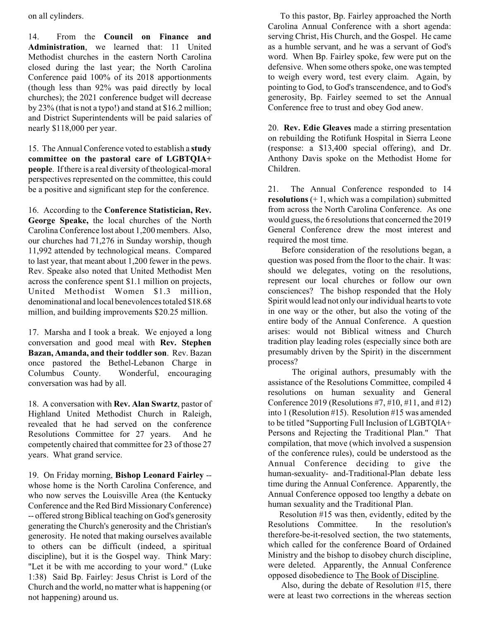on all cylinders.

14. From the **Council on Finance and Administration**, we learned that: 11 United Methodist churches in the eastern North Carolina closed during the last year; the North Carolina Conference paid 100% of its 2018 apportionments (though less than 92% was paid directly by local churches); the 2021 conference budget will decrease by 23% (that is not a typo!) and stand at \$16.2 million; and District Superintendents will be paid salaries of nearly \$118,000 per year.

15. The Annual Conference voted to establish a **study committee on the pastoral care of LGBTQIA+ people**. If there is a real diversity of theological-moral perspectives represented on the committee, this could be a positive and significant step for the conference.

16. According to the **Conference Statistician, Rev. George Speake,** the local churches of the North Carolina Conference lost about 1,200 members. Also, our churches had 71,276 in Sunday worship, though 11,992 attended by technological means. Compared to last year, that meant about 1,200 fewer in the pews. Rev. Speake also noted that United Methodist Men across the conference spent \$1.1 million on projects, United Methodist Women \$1.3 million, denominational and local benevolencestotaled \$18.68 million, and building improvements \$20.25 million.

17. Marsha and I took a break. We enjoyed a long conversation and good meal with **Rev. Stephen Bazan, Amanda, and their toddler son**. Rev. Bazan once pastored the Bethel-Lebanon Charge in Columbus County. Wonderful, encouraging conversation was had by all.

18. A conversation with **Rev. Alan Swartz**, pastor of Highland United Methodist Church in Raleigh, revealed that he had served on the conference Resolutions Committee for 27 years. And he competently chaired that committee for 23 of those 27 years. What grand service.

19. On Friday morning, **Bishop Leonard Fairley** - whose home is the North Carolina Conference, and who now serves the Louisville Area (the Kentucky Conference and the Red Bird Missionary Conference) -- offered strong Biblical teaching on God's generosity generating the Church's generosity and the Christian's generosity. He noted that making ourselves available to others can be difficult (indeed, a spiritual discipline), but it is the Gospel way. Think Mary: "Let it be with me according to your word." (Luke 1:38) Said Bp. Fairley: Jesus Christ is Lord of the Church and the world, no matter what is happening (or not happening) around us.

To this pastor, Bp. Fairley approached the North Carolina Annual Conference with a short agenda: serving Christ, His Church, and the Gospel. He came as a humble servant, and he was a servant of God's word. When Bp. Fairley spoke, few were put on the defensive. When some others spoke, one was tempted to weigh every word, test every claim. Again, by pointing to God, to God's transcendence, and to God's generosity, Bp. Fairley seemed to set the Annual Conference free to trust and obey God anew.

20. **Rev. Edie Gleaves** made a stirring presentation on rebuilding the Rotifunk Hospital in Sierra Leone (response: a \$13,400 special offering), and Dr. Anthony Davis spoke on the Methodist Home for Children.

21. The Annual Conference responded to 14 **resolutions**(+ 1, which was a compilation) submitted from across the North Carolina Conference. As one would guess, the 6 resolutions that concerned the 2019 General Conference drew the most interest and required the most time.

Before consideration of the resolutions began, a question was posed from the floor to the chair. It was: should we delegates, voting on the resolutions, represent our local churches or follow our own consciences? The bishop responded that the Holy Spirit would lead not only our individual hearts to vote in one way or the other, but also the voting of the entire body of the Annual Conference. A question arises: would not Biblical witness and Church tradition play leading roles (especially since both are presumably driven by the Spirit) in the discernment process?

The original authors, presumably with the assistance of the Resolutions Committee, compiled 4 resolutions on human sexuality and General Conference 2019 (Resolutions #7, #10, #11, and #12) into 1 (Resolution #15). Resolution #15 was amended to be titled "Supporting Full Inclusion of LGBTQIA+ Persons and Rejecting the Traditional Plan." That compilation, that move (which involved a suspension of the conference rules), could be understood as the Annual Conference deciding to give the human-sexuality- and-Traditional-Plan debate less time during the Annual Conference. Apparently, the Annual Conference opposed too lengthy a debate on human sexuality and the Traditional Plan.

Resolution #15 was then, evidently, edited by the Resolutions Committee. In the resolution's therefore-be-it-resolved section, the two statements, which called for the conference Board of Ordained Ministry and the bishop to disobey church discipline, were deleted. Apparently, the Annual Conference opposed disobedience to The Book of Discipline.

Also, during the debate of Resolution #15, there were at least two corrections in the whereas section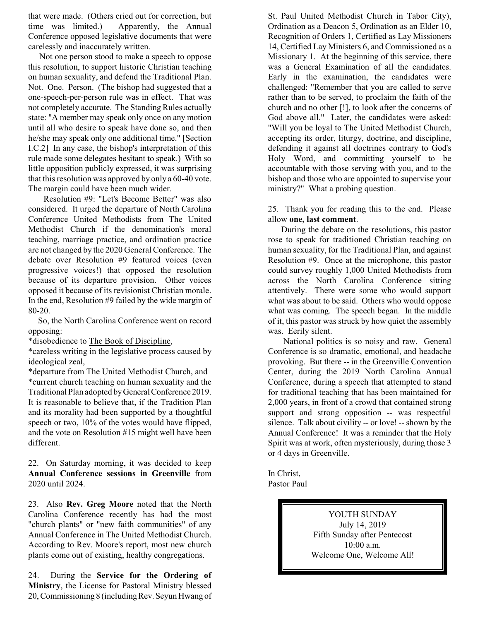that were made. (Others cried out for correction, but time was limited.) Apparently, the Annual Conference opposed legislative documents that were carelessly and inaccurately written.

Not one person stood to make a speech to oppose this resolution, to support historic Christian teaching on human sexuality, and defend the Traditional Plan. Not. One. Person. (The bishop had suggested that a one-speech-per-person rule was in effect. That was not completely accurate. The Standing Rules actually state: "A member may speak only once on any motion until all who desire to speak have done so, and then he/she may speak only one additional time." [Section I.C.2] In any case, the bishop's interpretation of this rule made some delegates hesitant to speak.) With so little opposition publicly expressed, it was surprising that this resolution was approved by only a 60-40 vote. The margin could have been much wider.

Resolution #9: "Let's Become Better" was also considered. It urged the departure of North Carolina Conference United Methodists from The United Methodist Church if the denomination's moral teaching, marriage practice, and ordination practice are not changed by the 2020 General Conference. The debate over Resolution #9 featured voices (even progressive voices!) that opposed the resolution because of its departure provision. Other voices opposed it because of its revisionist Christian morale. In the end, Resolution #9 failed by the wide margin of 80-20.

So, the North Carolina Conference went on record opposing:

\*disobedience to The Book of Discipline,

\*careless writing in the legislative process caused by ideological zeal,

\*departure from The United Methodist Church, and \*current church teaching on human sexuality and the Traditional Plan adopted by General Conference 2019. It is reasonable to believe that, if the Tradition Plan and its morality had been supported by a thoughtful speech or two, 10% of the votes would have flipped, and the vote on Resolution #15 might well have been different.

22. On Saturday morning, it was decided to keep **Annual Conference sessions in Greenville** from 2020 until 2024.

23. Also **Rev. Greg Moore** noted that the North Carolina Conference recently has had the most "church plants" or "new faith communities" of any Annual Conference in The United Methodist Church. According to Rev. Moore's report, most new church plants come out of existing, healthy congregations.

24. During the **Service for the Ordering of Ministry**, the License for Pastoral Ministry blessed 20, Commissioning 8 (including Rev. Seyun Hwang of

St. Paul United Methodist Church in Tabor City), Ordination as a Deacon 5, Ordination as an Elder 10, Recognition of Orders 1, Certified as Lay Missioners 14, Certified Lay Ministers 6, and Commissioned as a Missionary 1. At the beginning of this service, there was a General Examination of all the candidates. Early in the examination, the candidates were challenged: "Remember that you are called to serve rather than to be served, to proclaim the faith of the church and no other [!], to look after the concerns of God above all." Later, the candidates were asked: "Will you be loyal to The United Methodist Church, accepting its order, liturgy, doctrine, and discipline, defending it against all doctrines contrary to God's Holy Word, and committing yourself to be accountable with those serving with you, and to the bishop and those who are appointed to supervise your ministry?" What a probing question.

25. Thank you for reading this to the end. Please allow **one, last comment**.

During the debate on the resolutions, this pastor rose to speak for traditioned Christian teaching on human sexuality, for the Traditional Plan, and against Resolution #9. Once at the microphone, this pastor could survey roughly 1,000 United Methodists from across the North Carolina Conference sitting attentively. There were some who would support what was about to be said. Others who would oppose what was coming. The speech began. In the middle of it, this pastor was struck by how quiet the assembly was. Eerily silent.

National politics is so noisy and raw. General Conference is so dramatic, emotional, and headache provoking. But there -- in the Greenville Convention Center, during the 2019 North Carolina Annual Conference, during a speech that attempted to stand for traditional teaching that has been maintained for 2,000 years, in front of a crowd that contained strong support and strong opposition -- was respectful silence. Talk about civility -- or love! -- shown by the Annual Conference! It was a reminder that the Holy Spirit was at work, often mysteriously, during those 3 or 4 days in Greenville.

In Christ, Pastor Paul

> YOUTH SUNDAY July 14, 2019 Fifth Sunday after Pentecost 10:00 a.m. Welcome One, Welcome All!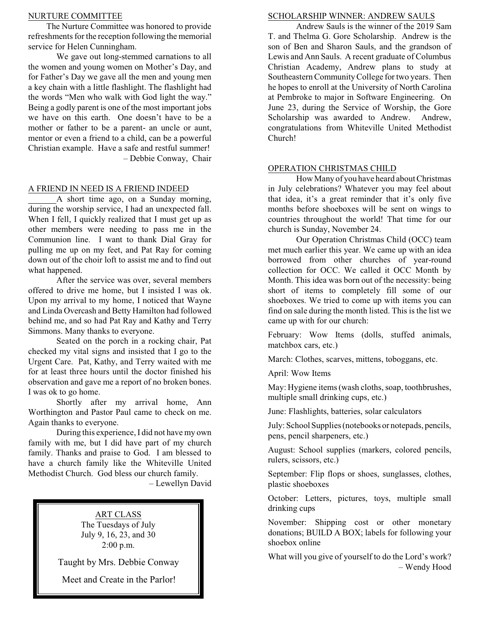## NURTURE COMMITTEE

The Nurture Committee was honored to provide refreshments for the reception following the memorial service for Helen Cunningham.

We gave out long-stemmed carnations to all the women and young women on Mother's Day, and for Father's Day we gave all the men and young men a key chain with a little flashlight. The flashlight had the words "Men who walk with God light the way." Being a godly parent is one of the most important jobs we have on this earth. One doesn't have to be a mother or father to be a parent- an uncle or aunt, mentor or even a friend to a child, can be a powerful Christian example. Have a safe and restful summer! – Debbie Conway, Chair

### A FRIEND IN NEED IS A FRIEND INDEED

A short time ago, on a Sunday morning, during the worship service, I had an unexpected fall. When I fell, I quickly realized that I must get up as other members were needing to pass me in the Communion line. I want to thank Dial Gray for pulling me up on my feet, and Pat Ray for coming down out of the choir loft to assist me and to find out what happened.

After the service was over, several members offered to drive me home, but I insisted I was ok. Upon my arrival to my home, I noticed that Wayne and Linda Overcash and Betty Hamilton had followed behind me, and so had Pat Ray and Kathy and Terry Simmons. Many thanks to everyone.

Seated on the porch in a rocking chair, Pat checked my vital signs and insisted that I go to the Urgent Care. Pat, Kathy, and Terry waited with me for at least three hours until the doctor finished his observation and gave me a report of no broken bones. I was ok to go home.

Shortly after my arrival home, Ann Worthington and Pastor Paul came to check on me. Again thanks to everyone.

During this experience, I did not have my own family with me, but I did have part of my church family. Thanks and praise to God. I am blessed to have a church family like the Whiteville United Methodist Church. God bless our church family.

– Lewellyn David

# ART CLASS The Tuesdays of July

July 9, 16, 23, and 30 2:00 p.m.

Taught by Mrs. Debbie Conway

Meet and Create in the Parlor!

### SCHOLARSHIP WINNER: ANDREW SAULS

Andrew Sauls is the winner of the 2019 Sam T. and Thelma G. Gore Scholarship. Andrew is the son of Ben and Sharon Sauls, and the grandson of Lewis and Ann Sauls. A recent graduate of Columbus Christian Academy, Andrew plans to study at Southeastern Community College for two years. Then he hopes to enroll at the University of North Carolina at Pembroke to major in Software Engineering. On June 23, during the Service of Worship, the Gore Scholarship was awarded to Andrew. Andrew, congratulations from Whiteville United Methodist Church!

## OPERATION CHRISTMAS CHILD

How Many of you have heard about Christmas in July celebrations? Whatever you may feel about that idea, it's a great reminder that it's only five months before shoeboxes will be sent on wings to countries throughout the world! That time for our church is Sunday, November 24.

Our Operation Christmas Child (OCC) team met much earlier this year. We came up with an idea borrowed from other churches of year-round collection for OCC. We called it OCC Month by Month. This idea was born out of the necessity: being short of items to completely fill some of our shoeboxes. We tried to come up with items you can find on sale during the month listed. This is the list we came up with for our church:

February: Wow Items (dolls, stuffed animals, matchbox cars, etc.)

March: Clothes, scarves, mittens, toboggans, etc.

April: Wow Items

May: Hygiene items (wash cloths, soap, toothbrushes, multiple small drinking cups, etc.)

June: Flashlights, batteries, solar calculators

July: School Supplies (notebooks or notepads, pencils, pens, pencil sharpeners, etc.)

August: School supplies (markers, colored pencils, rulers, scissors, etc.)

September: Flip flops or shoes, sunglasses, clothes, plastic shoeboxes

October: Letters, pictures, toys, multiple small drinking cups

November: Shipping cost or other monetary donations; BUILD A BOX; labels for following your shoebox online

What will you give of yourself to do the Lord's work? – Wendy Hood